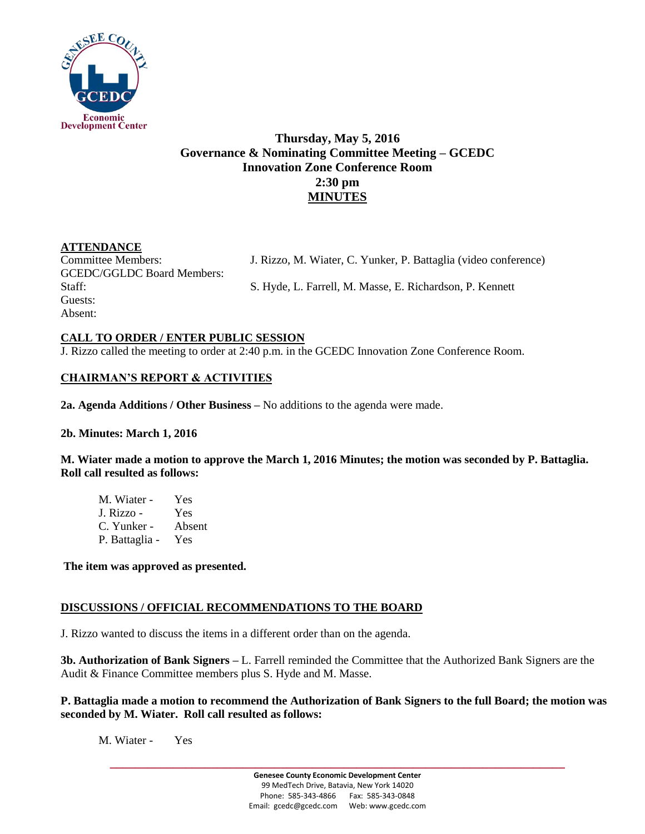

# **Thursday, May 5, 2016 Governance & Nominating Committee Meeting – GCEDC Innovation Zone Conference Room 2:30 pm MINUTES**

# **ATTENDANCE**

GCEDC/GGLDC Board Members: Guests: Absent:

Committee Members: J. Rizzo, M. Wiater, C. Yunker, P. Battaglia (video conference)

Staff: S. Hyde, L. Farrell, M. Masse, E. Richardson, P. Kennett

## **CALL TO ORDER / ENTER PUBLIC SESSION**

J. Rizzo called the meeting to order at 2:40 p.m. in the GCEDC Innovation Zone Conference Room.

# **CHAIRMAN'S REPORT & ACTIVITIES**

**2a. Agenda Additions / Other Business –** No additions to the agenda were made.

## **2b. Minutes: March 1, 2016**

**M. Wiater made a motion to approve the March 1, 2016 Minutes; the motion was seconded by P. Battaglia. Roll call resulted as follows:**

| M. Wiater -    | Yes    |
|----------------|--------|
| J. Rizzo -     | Yes    |
| C. Yunker -    | Absent |
| P. Battaglia - | Yes    |

**The item was approved as presented.** 

## **DISCUSSIONS / OFFICIAL RECOMMENDATIONS TO THE BOARD**

J. Rizzo wanted to discuss the items in a different order than on the agenda.

**3b. Authorization of Bank Signers –** L. Farrell reminded the Committee that the Authorized Bank Signers are the Audit & Finance Committee members plus S. Hyde and M. Masse.

### **P. Battaglia made a motion to recommend the Authorization of Bank Signers to the full Board; the motion was seconded by M. Wiater. Roll call resulted as follows:**

M. Wiater - Yes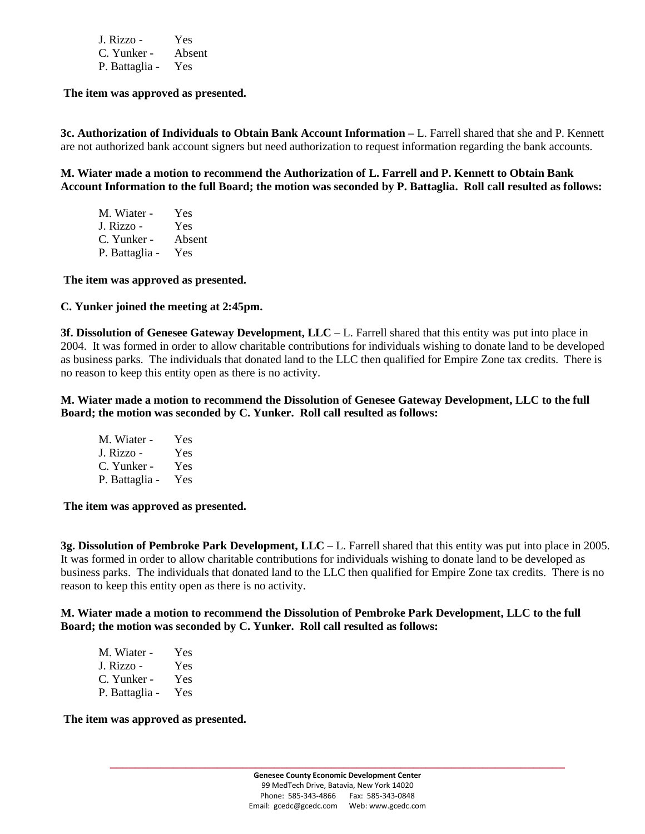| J. Rizzo -     | Yes    |
|----------------|--------|
| C. Yunker -    | Absent |
| P. Battaglia - | Yes    |

**The item was approved as presented.** 

**3c. Authorization of Individuals to Obtain Bank Account Information –** L. Farrell shared that she and P. Kennett are not authorized bank account signers but need authorization to request information regarding the bank accounts.

**M. Wiater made a motion to recommend the Authorization of L. Farrell and P. Kennett to Obtain Bank Account Information to the full Board; the motion was seconded by P. Battaglia. Roll call resulted as follows:**

| M. Wiater -    | Yes    |
|----------------|--------|
| J. Rizzo -     | Yes    |
| C. Yunker -    | Absent |
| P. Battaglia - | Yes    |

**The item was approved as presented.** 

#### **C. Yunker joined the meeting at 2:45pm.**

**3f. Dissolution of Genesee Gateway Development, LLC –** L. Farrell shared that this entity was put into place in 2004. It was formed in order to allow charitable contributions for individuals wishing to donate land to be developed as business parks. The individuals that donated land to the LLC then qualified for Empire Zone tax credits. There is no reason to keep this entity open as there is no activity.

**M. Wiater made a motion to recommend the Dissolution of Genesee Gateway Development, LLC to the full Board; the motion was seconded by C. Yunker. Roll call resulted as follows:**

| M. Wiater -    | Yes  |
|----------------|------|
| J. Rizzo -     | Yes  |
| C. Yunker -    | Yes  |
| P. Battaglia - | Yes. |

**The item was approved as presented.** 

**3g. Dissolution of Pembroke Park Development, LLC –** L. Farrell shared that this entity was put into place in 2005. It was formed in order to allow charitable contributions for individuals wishing to donate land to be developed as business parks. The individuals that donated land to the LLC then qualified for Empire Zone tax credits. There is no reason to keep this entity open as there is no activity.

**M. Wiater made a motion to recommend the Dissolution of Pembroke Park Development, LLC to the full Board; the motion was seconded by C. Yunker. Roll call resulted as follows:**

| M. Wiater -    | Yes |
|----------------|-----|
| J. Rizzo -     | Yes |
| C. Yunker -    | Yes |
| P. Battaglia - | Yes |

**The item was approved as presented.**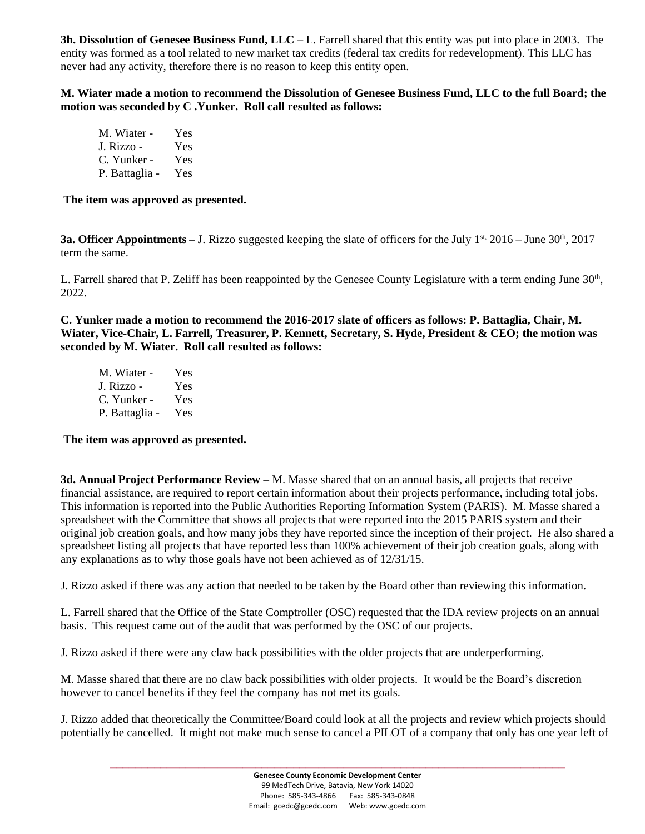**3h. Dissolution of Genesee Business Fund, LLC –** L. Farrell shared that this entity was put into place in 2003. The entity was formed as a tool related to new market tax credits (federal tax credits for redevelopment). This LLC has never had any activity, therefore there is no reason to keep this entity open.

**M. Wiater made a motion to recommend the Dissolution of Genesee Business Fund, LLC to the full Board; the motion was seconded by C .Yunker. Roll call resulted as follows:**

M. Wiater - Yes<br>J. Rizzo - Yes J. Rizzo -C. Yunker - Yes P. Battaglia - Yes

**The item was approved as presented.** 

**3a. Officer Appointments** – J. Rizzo suggested keeping the slate of officers for the July 1<sup>st,</sup> 2016 – June 30<sup>th</sup>, 2017 term the same.

L. Farrell shared that P. Zeliff has been reappointed by the Genesee County Legislature with a term ending June  $30<sup>th</sup>$ , 2022.

**C. Yunker made a motion to recommend the 2016-2017 slate of officers as follows: P. Battaglia, Chair, M. Wiater, Vice-Chair, L. Farrell, Treasurer, P. Kennett, Secretary, S. Hyde, President & CEO; the motion was seconded by M. Wiater. Roll call resulted as follows:**

M. Wiater - Yes J. Rizzo - Yes C. Yunker - Yes P. Battaglia - Yes

#### **The item was approved as presented.**

**3d. Annual Project Performance Review –** M. Masse shared that on an annual basis, all projects that receive financial assistance, are required to report certain information about their projects performance, including total jobs. This information is reported into the Public Authorities Reporting Information System (PARIS). M. Masse shared a spreadsheet with the Committee that shows all projects that were reported into the 2015 PARIS system and their original job creation goals, and how many jobs they have reported since the inception of their project. He also shared a spreadsheet listing all projects that have reported less than 100% achievement of their job creation goals, along with any explanations as to why those goals have not been achieved as of 12/31/15.

J. Rizzo asked if there was any action that needed to be taken by the Board other than reviewing this information.

L. Farrell shared that the Office of the State Comptroller (OSC) requested that the IDA review projects on an annual basis. This request came out of the audit that was performed by the OSC of our projects.

J. Rizzo asked if there were any claw back possibilities with the older projects that are underperforming.

M. Masse shared that there are no claw back possibilities with older projects. It would be the Board's discretion however to cancel benefits if they feel the company has not met its goals.

J. Rizzo added that theoretically the Committee/Board could look at all the projects and review which projects should potentially be cancelled. It might not make much sense to cancel a PILOT of a company that only has one year left of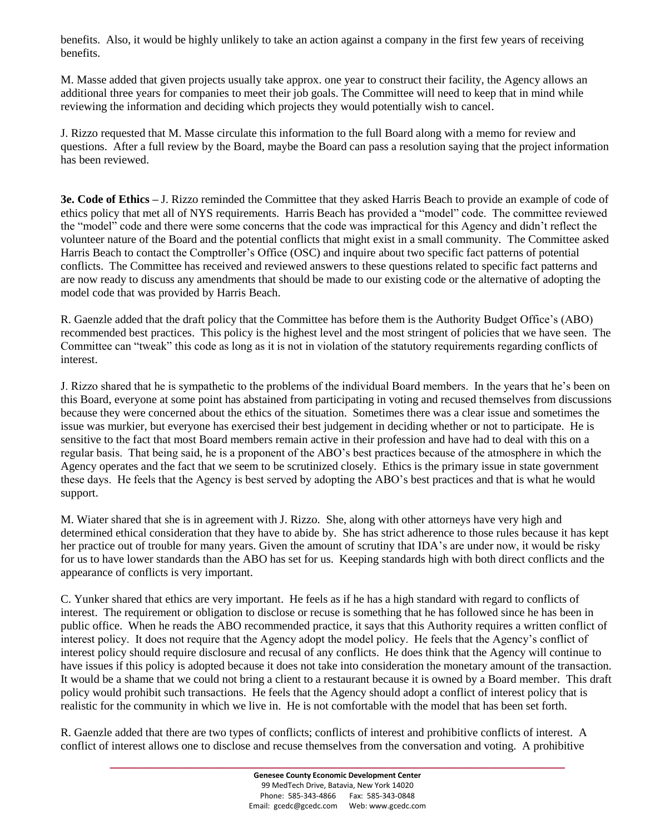benefits. Also, it would be highly unlikely to take an action against a company in the first few years of receiving benefits.

M. Masse added that given projects usually take approx. one year to construct their facility, the Agency allows an additional three years for companies to meet their job goals. The Committee will need to keep that in mind while reviewing the information and deciding which projects they would potentially wish to cancel.

J. Rizzo requested that M. Masse circulate this information to the full Board along with a memo for review and questions. After a full review by the Board, maybe the Board can pass a resolution saying that the project information has been reviewed.

**3e. Code of Ethics** – J. Rizzo reminded the Committee that they asked Harris Beach to provide an example of code of ethics policy that met all of NYS requirements. Harris Beach has provided a "model" code. The committee reviewed the "model" code and there were some concerns that the code was impractical for this Agency and didn't reflect the volunteer nature of the Board and the potential conflicts that might exist in a small community. The Committee asked Harris Beach to contact the Comptroller's Office (OSC) and inquire about two specific fact patterns of potential conflicts. The Committee has received and reviewed answers to these questions related to specific fact patterns and are now ready to discuss any amendments that should be made to our existing code or the alternative of adopting the model code that was provided by Harris Beach.

R. Gaenzle added that the draft policy that the Committee has before them is the Authority Budget Office's (ABO) recommended best practices. This policy is the highest level and the most stringent of policies that we have seen. The Committee can "tweak" this code as long as it is not in violation of the statutory requirements regarding conflicts of interest.

J. Rizzo shared that he is sympathetic to the problems of the individual Board members. In the years that he's been on this Board, everyone at some point has abstained from participating in voting and recused themselves from discussions because they were concerned about the ethics of the situation. Sometimes there was a clear issue and sometimes the issue was murkier, but everyone has exercised their best judgement in deciding whether or not to participate. He is sensitive to the fact that most Board members remain active in their profession and have had to deal with this on a regular basis. That being said, he is a proponent of the ABO's best practices because of the atmosphere in which the Agency operates and the fact that we seem to be scrutinized closely. Ethics is the primary issue in state government these days. He feels that the Agency is best served by adopting the ABO's best practices and that is what he would support.

M. Wiater shared that she is in agreement with J. Rizzo. She, along with other attorneys have very high and determined ethical consideration that they have to abide by. She has strict adherence to those rules because it has kept her practice out of trouble for many years. Given the amount of scrutiny that IDA's are under now, it would be risky for us to have lower standards than the ABO has set for us. Keeping standards high with both direct conflicts and the appearance of conflicts is very important.

C. Yunker shared that ethics are very important. He feels as if he has a high standard with regard to conflicts of interest. The requirement or obligation to disclose or recuse is something that he has followed since he has been in public office. When he reads the ABO recommended practice, it says that this Authority requires a written conflict of interest policy. It does not require that the Agency adopt the model policy. He feels that the Agency's conflict of interest policy should require disclosure and recusal of any conflicts. He does think that the Agency will continue to have issues if this policy is adopted because it does not take into consideration the monetary amount of the transaction. It would be a shame that we could not bring a client to a restaurant because it is owned by a Board member. This draft policy would prohibit such transactions. He feels that the Agency should adopt a conflict of interest policy that is realistic for the community in which we live in. He is not comfortable with the model that has been set forth.

R. Gaenzle added that there are two types of conflicts; conflicts of interest and prohibitive conflicts of interest. A conflict of interest allows one to disclose and recuse themselves from the conversation and voting. A prohibitive